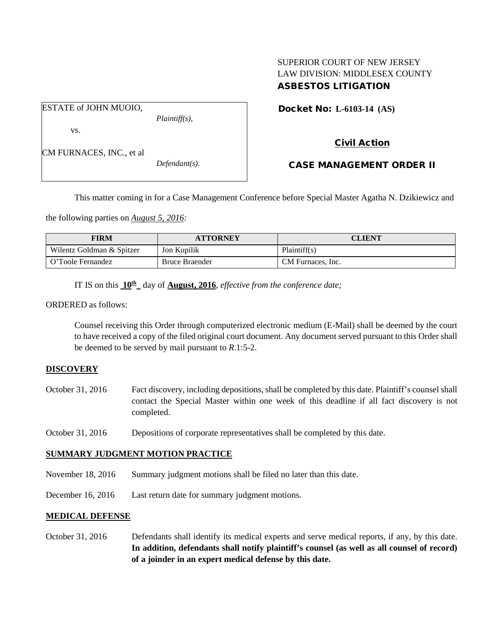# SUPERIOR COURT OF NEW JERSEY LAW DIVISION: MIDDLESEX COUNTY ASBESTOS LITIGATION

Docket No: **L-6103-14 (AS)** 

vs.

*Plaintiff(s),*

Civil Action

CM FURNACES, INC., et al

ESTATE of JOHN MUOIO,

*Defendant(s).*

CASE MANAGEMENT ORDER II

This matter coming in for a Case Management Conference before Special Master Agatha N. Dzikiewicz and

the following parties on *August 5, 2016:*

| <b>FIRM</b>               | <b>ATTORNEY</b>       | CLIENT            |
|---------------------------|-----------------------|-------------------|
| Wilentz Goldman & Spitzer | Jon Kupilik           | Plaintiff(s)      |
| O'Toole Fernandez         | <b>Bruce Braender</b> | CM Furnaces, Inc. |

IT IS on this **10th** day of **August, 2016**, *effective from the conference date;*

ORDERED as follows:

Counsel receiving this Order through computerized electronic medium (E-Mail) shall be deemed by the court to have received a copy of the filed original court document. Any document served pursuant to this Order shall be deemed to be served by mail pursuant to *R*.1:5-2.

## **DISCOVERY**

- October 31, 2016 Fact discovery, including depositions, shall be completed by this date. Plaintiff's counsel shall contact the Special Master within one week of this deadline if all fact discovery is not completed.
- October 31, 2016 Depositions of corporate representatives shall be completed by this date.

## **SUMMARY JUDGMENT MOTION PRACTICE**

- November 18, 2016 Summary judgment motions shall be filed no later than this date.
- December 16, 2016 Last return date for summary judgment motions.

## **MEDICAL DEFENSE**

October 31, 2016 Defendants shall identify its medical experts and serve medical reports, if any, by this date. **In addition, defendants shall notify plaintiff's counsel (as well as all counsel of record) of a joinder in an expert medical defense by this date.**